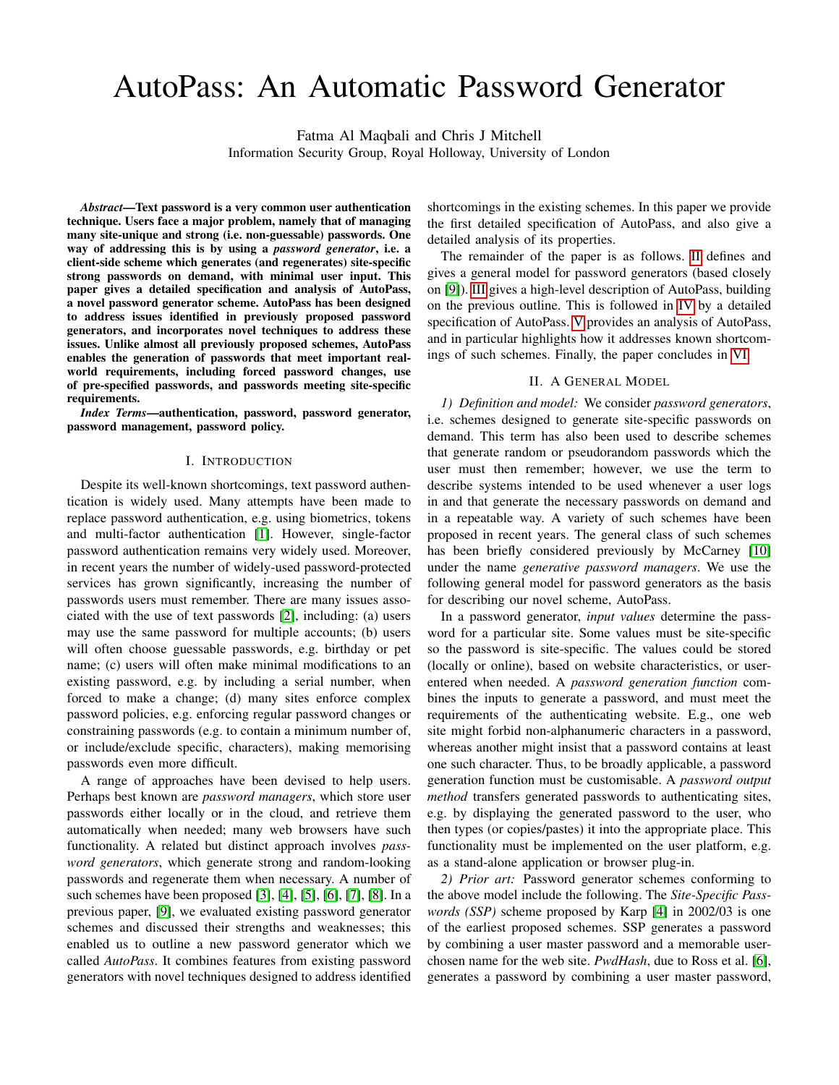# AutoPass: An Automatic Password Generator

Fatma Al Maqbali and Chris J Mitchell

Information Security Group, Royal Holloway, University of London

*Abstract*—Text password is a very common user authentication technique. Users face a major problem, namely that of managing many site-unique and strong (i.e. non-guessable) passwords. One way of addressing this is by using a *password generator*, i.e. a client-side scheme which generates (and regenerates) site-specific strong passwords on demand, with minimal user input. This paper gives a detailed specification and analysis of AutoPass, a novel password generator scheme. AutoPass has been designed to address issues identified in previously proposed password generators, and incorporates novel techniques to address these issues. Unlike almost all previously proposed schemes, AutoPass enables the generation of passwords that meet important realworld requirements, including forced password changes, use of pre-specified passwords, and passwords meeting site-specific requirements.

*Index Terms*—authentication, password, password generator, password management, password policy.

#### I. INTRODUCTION

Despite its well-known shortcomings, text password authentication is widely used. Many attempts have been made to replace password authentication, e.g. using biometrics, tokens and multi-factor authentication [\[1\]](#page-5-0). However, single-factor password authentication remains very widely used. Moreover, in recent years the number of widely-used password-protected services has grown significantly, increasing the number of passwords users must remember. There are many issues associated with the use of text passwords [\[2\]](#page-5-1), including: (a) users may use the same password for multiple accounts; (b) users will often choose guessable passwords, e.g. birthday or pet name; (c) users will often make minimal modifications to an existing password, e.g. by including a serial number, when forced to make a change; (d) many sites enforce complex password policies, e.g. enforcing regular password changes or constraining passwords (e.g. to contain a minimum number of, or include/exclude specific, characters), making memorising passwords even more difficult.

A range of approaches have been devised to help users. Perhaps best known are *password managers*, which store user passwords either locally or in the cloud, and retrieve them automatically when needed; many web browsers have such functionality. A related but distinct approach involves *password generators*, which generate strong and random-looking passwords and regenerate them when necessary. A number of such schemes have been proposed [\[3\]](#page-5-2), [\[4\]](#page-5-3), [\[5\]](#page-5-4), [\[6\]](#page-5-5), [\[7\]](#page-5-6), [\[8\]](#page-5-7). In a previous paper, [\[9\]](#page-5-8), we evaluated existing password generator schemes and discussed their strengths and weaknesses; this enabled us to outline a new password generator which we called *AutoPass*. It combines features from existing password generators with novel techniques designed to address identified

shortcomings in the existing schemes. In this paper we provide the first detailed specification of AutoPass, and also give a detailed analysis of its properties.

The remainder of the paper is as follows. [II](#page-0-0) defines and gives a general model for password generators (based closely on [\[9\]](#page-5-8)). [III](#page-1-0) gives a high-level description of AutoPass, building on the previous outline. This is followed in [IV](#page-3-0) by a detailed specification of AutoPass. [V](#page-4-0) provides an analysis of AutoPass, and in particular highlights how it addresses known shortcomings of such schemes. Finally, the paper concludes in [VI.](#page-5-9)

## II. A GENERAL MODEL

<span id="page-0-0"></span>*1) Definition and model:* We consider *password generators*, i.e. schemes designed to generate site-specific passwords on demand. This term has also been used to describe schemes that generate random or pseudorandom passwords which the user must then remember; however, we use the term to describe systems intended to be used whenever a user logs in and that generate the necessary passwords on demand and in a repeatable way. A variety of such schemes have been proposed in recent years. The general class of such schemes has been briefly considered previously by McCarney [\[10\]](#page-5-10) under the name *generative password managers*. We use the following general model for password generators as the basis for describing our novel scheme, AutoPass.

In a password generator, *input values* determine the password for a particular site. Some values must be site-specific so the password is site-specific. The values could be stored (locally or online), based on website characteristics, or userentered when needed. A *password generation function* combines the inputs to generate a password, and must meet the requirements of the authenticating website. E.g., one web site might forbid non-alphanumeric characters in a password, whereas another might insist that a password contains at least one such character. Thus, to be broadly applicable, a password generation function must be customisable. A *password output method* transfers generated passwords to authenticating sites, e.g. by displaying the generated password to the user, who then types (or copies/pastes) it into the appropriate place. This functionality must be implemented on the user platform, e.g. as a stand-alone application or browser plug-in.

*2) Prior art:* Password generator schemes conforming to the above model include the following. The *Site-Specific Passwords (SSP)* scheme proposed by Karp [\[4\]](#page-5-3) in 2002/03 is one of the earliest proposed schemes. SSP generates a password by combining a user master password and a memorable userchosen name for the web site. *PwdHash*, due to Ross et al. [\[6\]](#page-5-5), generates a password by combining a user master password,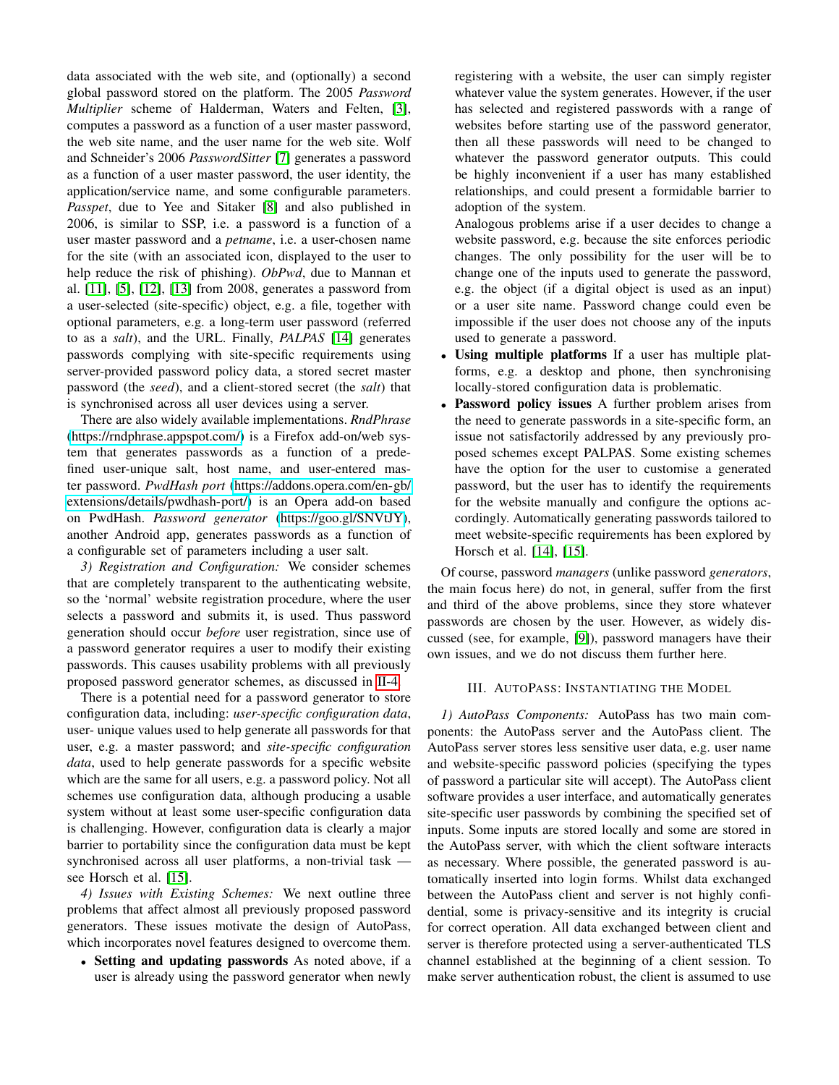data associated with the web site, and (optionally) a second global password stored on the platform. The 2005 *Password Multiplier* scheme of Halderman, Waters and Felten, [\[3\]](#page-5-2), computes a password as a function of a user master password, the web site name, and the user name for the web site. Wolf and Schneider's 2006 *PasswordSitter* [\[7\]](#page-5-6) generates a password as a function of a user master password, the user identity, the application/service name, and some configurable parameters. *Passpet*, due to Yee and Sitaker [\[8\]](#page-5-7) and also published in 2006, is similar to SSP, i.e. a password is a function of a user master password and a *petname*, i.e. a user-chosen name for the site (with an associated icon, displayed to the user to help reduce the risk of phishing). *ObPwd*, due to Mannan et al. [\[11\]](#page-5-11), [\[5\]](#page-5-4), [\[12\]](#page-5-12), [\[13\]](#page-5-13) from 2008, generates a password from a user-selected (site-specific) object, e.g. a file, together with optional parameters, e.g. a long-term user password (referred to as a *salt*), and the URL. Finally, *PALPAS* [\[14\]](#page-5-14) generates passwords complying with site-specific requirements using server-provided password policy data, a stored secret master password (the *seed*), and a client-stored secret (the *salt*) that is synchronised across all user devices using a server.

There are also widely available implementations. *RndPhrase* [\(https://rndphrase.appspot.com/\)](https://rndphrase.appspot.com/) is a Firefox add-on/web system that generates passwords as a function of a predefined user-unique salt, host name, and user-entered master password. *PwdHash port* [\(https://addons.opera.com/en-gb/](https://addons.opera.com/en-gb/extensions/details/pwdhash-port/) [extensions/details/pwdhash-port/\)](https://addons.opera.com/en-gb/extensions/details/pwdhash-port/) is an Opera add-on based on PwdHash. *Password generator* [\(https://goo.gl/SNVtJY\)](https://goo.gl/SNVtJY), another Android app, generates passwords as a function of a configurable set of parameters including a user salt.

*3) Registration and Configuration:* We consider schemes that are completely transparent to the authenticating website, so the 'normal' website registration procedure, where the user selects a password and submits it, is used. Thus password generation should occur *before* user registration, since use of a password generator requires a user to modify their existing passwords. This causes usability problems with all previously proposed password generator schemes, as discussed in [II-4.](#page-1-1)

There is a potential need for a password generator to store configuration data, including: *user-specific configuration data*, user- unique values used to help generate all passwords for that user, e.g. a master password; and *site-specific configuration data*, used to help generate passwords for a specific website which are the same for all users, e.g. a password policy. Not all schemes use configuration data, although producing a usable system without at least some user-specific configuration data is challenging. However, configuration data is clearly a major barrier to portability since the configuration data must be kept synchronised across all user platforms, a non-trivial task see Horsch et al. [\[15\]](#page-5-15).

<span id="page-1-1"></span>*4) Issues with Existing Schemes:* We next outline three problems that affect almost all previously proposed password generators. These issues motivate the design of AutoPass, which incorporates novel features designed to overcome them.

• Setting and updating passwords As noted above, if a user is already using the password generator when newly

registering with a website, the user can simply register whatever value the system generates. However, if the user has selected and registered passwords with a range of websites before starting use of the password generator, then all these passwords will need to be changed to whatever the password generator outputs. This could be highly inconvenient if a user has many established relationships, and could present a formidable barrier to adoption of the system.

Analogous problems arise if a user decides to change a website password, e.g. because the site enforces periodic changes. The only possibility for the user will be to change one of the inputs used to generate the password, e.g. the object (if a digital object is used as an input) or a user site name. Password change could even be impossible if the user does not choose any of the inputs used to generate a password.

- Using multiple platforms If a user has multiple platforms, e.g. a desktop and phone, then synchronising locally-stored configuration data is problematic.
- Password policy issues A further problem arises from the need to generate passwords in a site-specific form, an issue not satisfactorily addressed by any previously proposed schemes except PALPAS. Some existing schemes have the option for the user to customise a generated password, but the user has to identify the requirements for the website manually and configure the options accordingly. Automatically generating passwords tailored to meet website-specific requirements has been explored by Horsch et al. [\[14\]](#page-5-14), [\[15\]](#page-5-15).

Of course, password *managers* (unlike password *generators*, the main focus here) do not, in general, suffer from the first and third of the above problems, since they store whatever passwords are chosen by the user. However, as widely discussed (see, for example, [\[9\]](#page-5-8)), password managers have their own issues, and we do not discuss them further here.

## III. AUTOPASS: INSTANTIATING THE MODEL

<span id="page-1-2"></span><span id="page-1-0"></span>*1) AutoPass Components:* AutoPass has two main components: the AutoPass server and the AutoPass client. The AutoPass server stores less sensitive user data, e.g. user name and website-specific password policies (specifying the types of password a particular site will accept). The AutoPass client software provides a user interface, and automatically generates site-specific user passwords by combining the specified set of inputs. Some inputs are stored locally and some are stored in the AutoPass server, with which the client software interacts as necessary. Where possible, the generated password is automatically inserted into login forms. Whilst data exchanged between the AutoPass client and server is not highly confidential, some is privacy-sensitive and its integrity is crucial for correct operation. All data exchanged between client and server is therefore protected using a server-authenticated TLS channel established at the beginning of a client session. To make server authentication robust, the client is assumed to use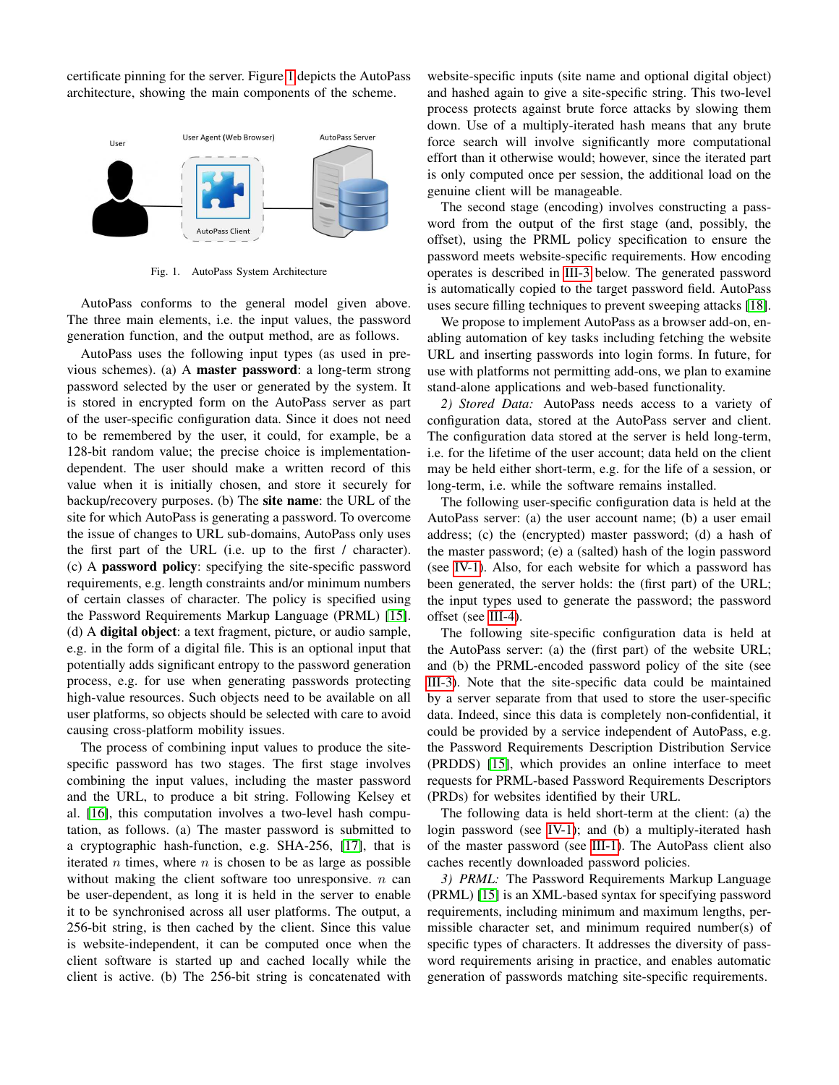certificate pinning for the server. Figure [1](#page-2-0) depicts the AutoPass architecture, showing the main components of the scheme.



<span id="page-2-0"></span>Fig. 1. AutoPass System Architecture

AutoPass conforms to the general model given above. The three main elements, i.e. the input values, the password generation function, and the output method, are as follows.

AutoPass uses the following input types (as used in previous schemes). (a) A master password: a long-term strong password selected by the user or generated by the system. It is stored in encrypted form on the AutoPass server as part of the user-specific configuration data. Since it does not need to be remembered by the user, it could, for example, be a 128-bit random value; the precise choice is implementationdependent. The user should make a written record of this value when it is initially chosen, and store it securely for backup/recovery purposes. (b) The site name: the URL of the site for which AutoPass is generating a password. To overcome the issue of changes to URL sub-domains, AutoPass only uses the first part of the URL (i.e. up to the first / character). (c) A password policy: specifying the site-specific password requirements, e.g. length constraints and/or minimum numbers of certain classes of character. The policy is specified using the Password Requirements Markup Language (PRML) [\[15\]](#page-5-15). (d) A digital object: a text fragment, picture, or audio sample, e.g. in the form of a digital file. This is an optional input that potentially adds significant entropy to the password generation process, e.g. for use when generating passwords protecting high-value resources. Such objects need to be available on all user platforms, so objects should be selected with care to avoid causing cross-platform mobility issues.

The process of combining input values to produce the sitespecific password has two stages. The first stage involves combining the input values, including the master password and the URL, to produce a bit string. Following Kelsey et al. [\[16\]](#page-5-16), this computation involves a two-level hash computation, as follows. (a) The master password is submitted to a cryptographic hash-function, e.g. SHA-256, [\[17\]](#page-5-17), that is iterated *n* times, where *n* is chosen to be as large as possible without making the client software too unresponsive.  $n$  can be user-dependent, as long it is held in the server to enable it to be synchronised across all user platforms. The output, a 256-bit string, is then cached by the client. Since this value is website-independent, it can be computed once when the client software is started up and cached locally while the client is active. (b) The 256-bit string is concatenated with website-specific inputs (site name and optional digital object) and hashed again to give a site-specific string. This two-level process protects against brute force attacks by slowing them down. Use of a multiply-iterated hash means that any brute force search will involve significantly more computational effort than it otherwise would; however, since the iterated part is only computed once per session, the additional load on the genuine client will be manageable.

The second stage (encoding) involves constructing a password from the output of the first stage (and, possibly, the offset), using the PRML policy specification to ensure the password meets website-specific requirements. How encoding operates is described in [III-3](#page-2-1) below. The generated password is automatically copied to the target password field. AutoPass uses secure filling techniques to prevent sweeping attacks [\[18\]](#page-5-18).

We propose to implement AutoPass as a browser add-on, enabling automation of key tasks including fetching the website URL and inserting passwords into login forms. In future, for use with platforms not permitting add-ons, we plan to examine stand-alone applications and web-based functionality.

*2) Stored Data:* AutoPass needs access to a variety of configuration data, stored at the AutoPass server and client. The configuration data stored at the server is held long-term, i.e. for the lifetime of the user account; data held on the client may be held either short-term, e.g. for the life of a session, or long-term, i.e. while the software remains installed.

The following user-specific configuration data is held at the AutoPass server: (a) the user account name; (b) a user email address; (c) the (encrypted) master password; (d) a hash of the master password; (e) a (salted) hash of the login password (see [IV-1\)](#page-3-1). Also, for each website for which a password has been generated, the server holds: the (first part) of the URL; the input types used to generate the password; the password offset (see [III-4\)](#page-3-2).

The following site-specific configuration data is held at the AutoPass server: (a) the (first part) of the website URL; and (b) the PRML-encoded password policy of the site (see [III-3\)](#page-2-1). Note that the site-specific data could be maintained by a server separate from that used to store the user-specific data. Indeed, since this data is completely non-confidential, it could be provided by a service independent of AutoPass, e.g. the Password Requirements Description Distribution Service (PRDDS) [\[15\]](#page-5-15), which provides an online interface to meet requests for PRML-based Password Requirements Descriptors (PRDs) for websites identified by their URL.

The following data is held short-term at the client: (a) the login password (see [IV-1\)](#page-3-1); and (b) a multiply-iterated hash of the master password (see [III-1\)](#page-1-2). The AutoPass client also caches recently downloaded password policies.

<span id="page-2-1"></span>*3) PRML:* The Password Requirements Markup Language (PRML) [\[15\]](#page-5-15) is an XML-based syntax for specifying password requirements, including minimum and maximum lengths, permissible character set, and minimum required number(s) of specific types of characters. It addresses the diversity of password requirements arising in practice, and enables automatic generation of passwords matching site-specific requirements.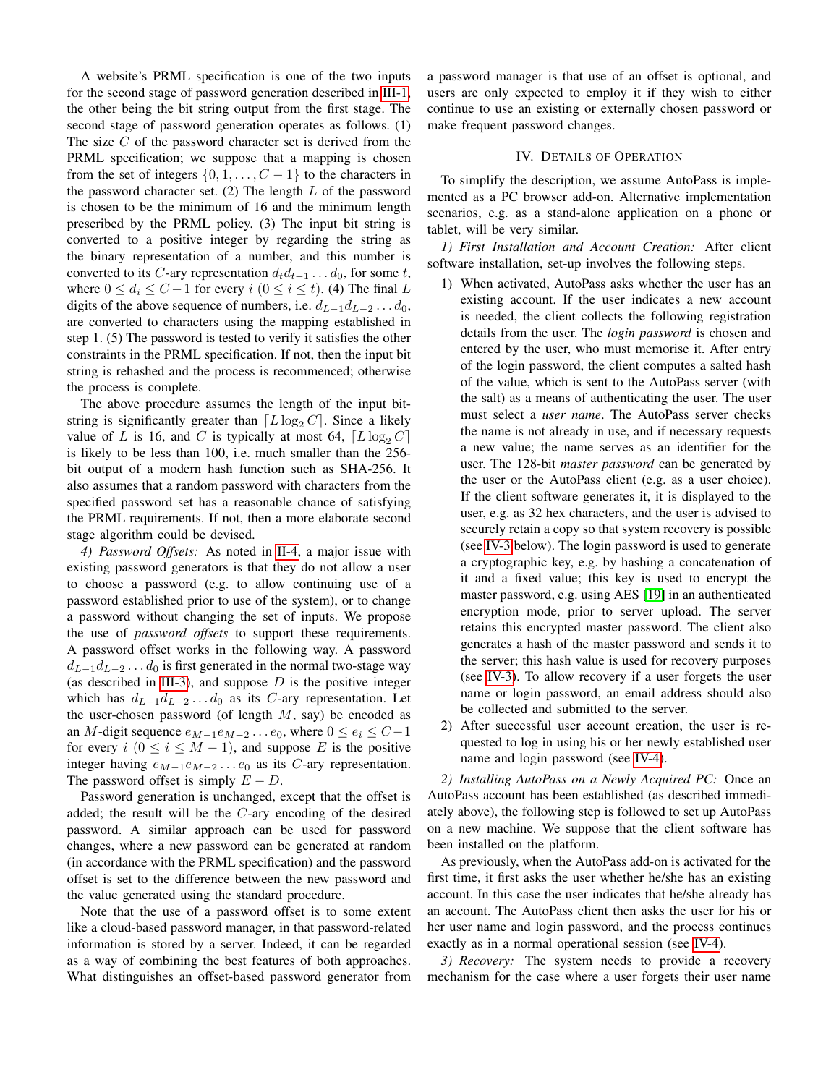A website's PRML specification is one of the two inputs for the second stage of password generation described in [III-1,](#page-1-2) the other being the bit string output from the first stage. The second stage of password generation operates as follows. (1) The size  $C$  of the password character set is derived from the PRML specification; we suppose that a mapping is chosen from the set of integers  $\{0, 1, \ldots, C - 1\}$  to the characters in the password character set. (2) The length  $L$  of the password is chosen to be the minimum of 16 and the minimum length prescribed by the PRML policy. (3) The input bit string is converted to a positive integer by regarding the string as the binary representation of a number, and this number is converted to its C-ary representation  $d_t d_{t-1} \ldots d_0$ , for some t, where  $0 \le d_i \le C-1$  for every  $i \ (0 \le i \le t)$ . (4) The final L digits of the above sequence of numbers, i.e.  $d_{L-1}d_{L-2} \ldots d_0$ , are converted to characters using the mapping established in step 1. (5) The password is tested to verify it satisfies the other constraints in the PRML specification. If not, then the input bit string is rehashed and the process is recommenced; otherwise the process is complete.

The above procedure assumes the length of the input bitstring is significantly greater than  $[L \log_2 C]$ . Since a likely value of L is 16, and C is typically at most 64,  $[L \log_2 C]$ is likely to be less than 100, i.e. much smaller than the 256 bit output of a modern hash function such as SHA-256. It also assumes that a random password with characters from the specified password set has a reasonable chance of satisfying the PRML requirements. If not, then a more elaborate second stage algorithm could be devised.

<span id="page-3-2"></span>*4) Password Offsets:* As noted in [II-4,](#page-1-1) a major issue with existing password generators is that they do not allow a user to choose a password (e.g. to allow continuing use of a password established prior to use of the system), or to change a password without changing the set of inputs. We propose the use of *password offsets* to support these requirements. A password offset works in the following way. A password  $d_{L-1}d_{L-2} \ldots d_0$  is first generated in the normal two-stage way (as described in [III-3\)](#page-2-1), and suppose  $D$  is the positive integer which has  $d_{L-1}d_{L-2} \ldots d_0$  as its C-ary representation. Let the user-chosen password (of length  $M$ , say) be encoded as an M-digit sequence  $e_{M-1}e_{M-2} \dots e_0$ , where  $0 \le e_i \le C-1$ for every  $i$   $(0 \le i \le M - 1)$ , and suppose E is the positive integer having  $e_{M-1}e_{M-2} \dots e_0$  as its C-ary representation. The password offset is simply  $E - D$ .

Password generation is unchanged, except that the offset is added; the result will be the C-ary encoding of the desired password. A similar approach can be used for password changes, where a new password can be generated at random (in accordance with the PRML specification) and the password offset is set to the difference between the new password and the value generated using the standard procedure.

Note that the use of a password offset is to some extent like a cloud-based password manager, in that password-related information is stored by a server. Indeed, it can be regarded as a way of combining the best features of both approaches. What distinguishes an offset-based password generator from

a password manager is that use of an offset is optional, and users are only expected to employ it if they wish to either continue to use an existing or externally chosen password or make frequent password changes.

# IV. DETAILS OF OPERATION

<span id="page-3-0"></span>To simplify the description, we assume AutoPass is implemented as a PC browser add-on. Alternative implementation scenarios, e.g. as a stand-alone application on a phone or tablet, will be very similar.

<span id="page-3-1"></span>*1) First Installation and Account Creation:* After client software installation, set-up involves the following steps.

- 1) When activated, AutoPass asks whether the user has an existing account. If the user indicates a new account is needed, the client collects the following registration details from the user. The *login password* is chosen and entered by the user, who must memorise it. After entry of the login password, the client computes a salted hash of the value, which is sent to the AutoPass server (with the salt) as a means of authenticating the user. The user must select a *user name*. The AutoPass server checks the name is not already in use, and if necessary requests a new value; the name serves as an identifier for the user. The 128-bit *master password* can be generated by the user or the AutoPass client (e.g. as a user choice). If the client software generates it, it is displayed to the user, e.g. as 32 hex characters, and the user is advised to securely retain a copy so that system recovery is possible (see [IV-3](#page-3-3) below). The login password is used to generate a cryptographic key, e.g. by hashing a concatenation of it and a fixed value; this key is used to encrypt the master password, e.g. using AES [\[19\]](#page-5-19) in an authenticated encryption mode, prior to server upload. The server retains this encrypted master password. The client also generates a hash of the master password and sends it to the server; this hash value is used for recovery purposes (see [IV-3\)](#page-3-3). To allow recovery if a user forgets the user name or login password, an email address should also be collected and submitted to the server.
- 2) After successful user account creation, the user is requested to log in using his or her newly established user name and login password (see [IV-4\)](#page-4-1).

*2) Installing AutoPass on a Newly Acquired PC:* Once an AutoPass account has been established (as described immediately above), the following step is followed to set up AutoPass on a new machine. We suppose that the client software has been installed on the platform.

As previously, when the AutoPass add-on is activated for the first time, it first asks the user whether he/she has an existing account. In this case the user indicates that he/she already has an account. The AutoPass client then asks the user for his or her user name and login password, and the process continues exactly as in a normal operational session (see [IV-4\)](#page-4-1).

<span id="page-3-3"></span>*3) Recovery:* The system needs to provide a recovery mechanism for the case where a user forgets their user name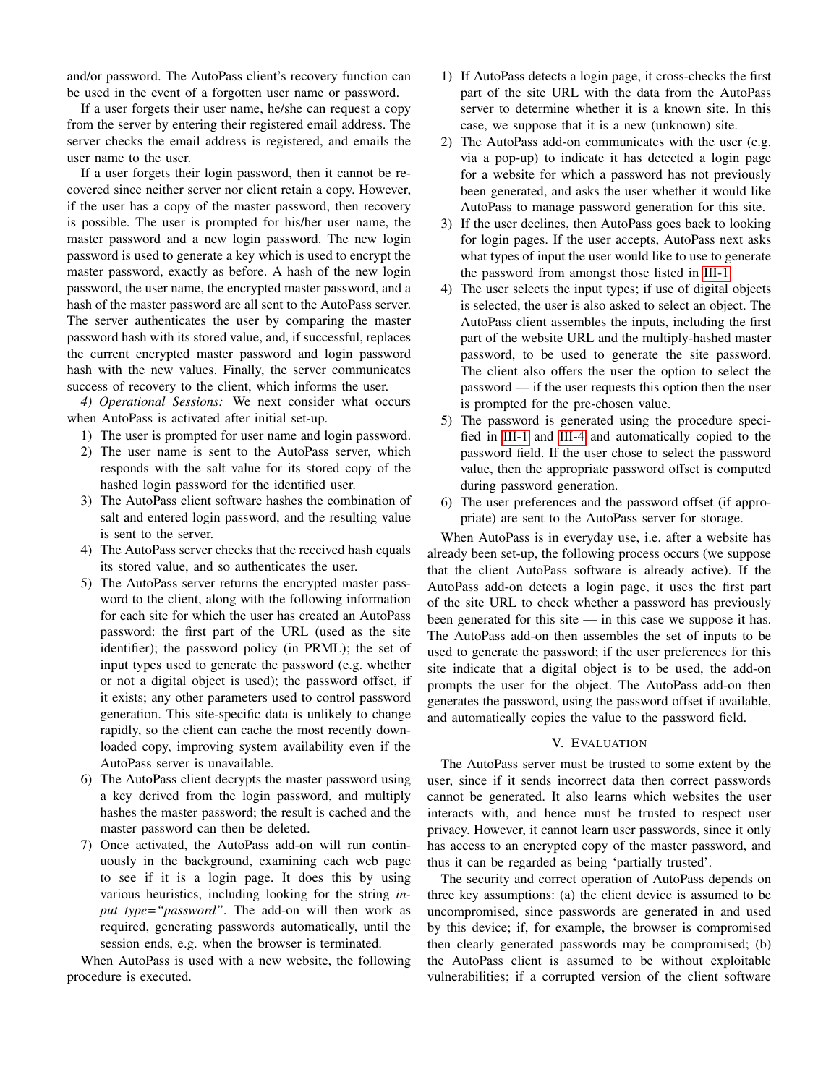and/or password. The AutoPass client's recovery function can be used in the event of a forgotten user name or password.

If a user forgets their user name, he/she can request a copy from the server by entering their registered email address. The server checks the email address is registered, and emails the user name to the user.

If a user forgets their login password, then it cannot be recovered since neither server nor client retain a copy. However, if the user has a copy of the master password, then recovery is possible. The user is prompted for his/her user name, the master password and a new login password. The new login password is used to generate a key which is used to encrypt the master password, exactly as before. A hash of the new login password, the user name, the encrypted master password, and a hash of the master password are all sent to the AutoPass server. The server authenticates the user by comparing the master password hash with its stored value, and, if successful, replaces the current encrypted master password and login password hash with the new values. Finally, the server communicates success of recovery to the client, which informs the user.

<span id="page-4-1"></span>*4) Operational Sessions:* We next consider what occurs when AutoPass is activated after initial set-up.

- 1) The user is prompted for user name and login password.
- 2) The user name is sent to the AutoPass server, which responds with the salt value for its stored copy of the hashed login password for the identified user.
- 3) The AutoPass client software hashes the combination of salt and entered login password, and the resulting value is sent to the server.
- 4) The AutoPass server checks that the received hash equals its stored value, and so authenticates the user.
- 5) The AutoPass server returns the encrypted master password to the client, along with the following information for each site for which the user has created an AutoPass password: the first part of the URL (used as the site identifier); the password policy (in PRML); the set of input types used to generate the password (e.g. whether or not a digital object is used); the password offset, if it exists; any other parameters used to control password generation. This site-specific data is unlikely to change rapidly, so the client can cache the most recently downloaded copy, improving system availability even if the AutoPass server is unavailable.
- 6) The AutoPass client decrypts the master password using a key derived from the login password, and multiply hashes the master password; the result is cached and the master password can then be deleted.
- 7) Once activated, the AutoPass add-on will run continuously in the background, examining each web page to see if it is a login page. It does this by using various heuristics, including looking for the string *input type="password"*. The add-on will then work as required, generating passwords automatically, until the session ends, e.g. when the browser is terminated.

When AutoPass is used with a new website, the following procedure is executed.

- 1) If AutoPass detects a login page, it cross-checks the first part of the site URL with the data from the AutoPass server to determine whether it is a known site. In this case, we suppose that it is a new (unknown) site.
- 2) The AutoPass add-on communicates with the user (e.g. via a pop-up) to indicate it has detected a login page for a website for which a password has not previously been generated, and asks the user whether it would like AutoPass to manage password generation for this site.
- 3) If the user declines, then AutoPass goes back to looking for login pages. If the user accepts, AutoPass next asks what types of input the user would like to use to generate the password from amongst those listed in [III-1.](#page-1-2)
- 4) The user selects the input types; if use of digital objects is selected, the user is also asked to select an object. The AutoPass client assembles the inputs, including the first part of the website URL and the multiply-hashed master password, to be used to generate the site password. The client also offers the user the option to select the password — if the user requests this option then the user is prompted for the pre-chosen value.
- 5) The password is generated using the procedure specified in [III-1](#page-1-2) and [III-4](#page-3-2) and automatically copied to the password field. If the user chose to select the password value, then the appropriate password offset is computed during password generation.
- 6) The user preferences and the password offset (if appropriate) are sent to the AutoPass server for storage.

When AutoPass is in everyday use, i.e. after a website has already been set-up, the following process occurs (we suppose that the client AutoPass software is already active). If the AutoPass add-on detects a login page, it uses the first part of the site URL to check whether a password has previously been generated for this site — in this case we suppose it has. The AutoPass add-on then assembles the set of inputs to be used to generate the password; if the user preferences for this site indicate that a digital object is to be used, the add-on prompts the user for the object. The AutoPass add-on then generates the password, using the password offset if available, and automatically copies the value to the password field.

## V. EVALUATION

<span id="page-4-0"></span>The AutoPass server must be trusted to some extent by the user, since if it sends incorrect data then correct passwords cannot be generated. It also learns which websites the user interacts with, and hence must be trusted to respect user privacy. However, it cannot learn user passwords, since it only has access to an encrypted copy of the master password, and thus it can be regarded as being 'partially trusted'.

The security and correct operation of AutoPass depends on three key assumptions: (a) the client device is assumed to be uncompromised, since passwords are generated in and used by this device; if, for example, the browser is compromised then clearly generated passwords may be compromised; (b) the AutoPass client is assumed to be without exploitable vulnerabilities; if a corrupted version of the client software